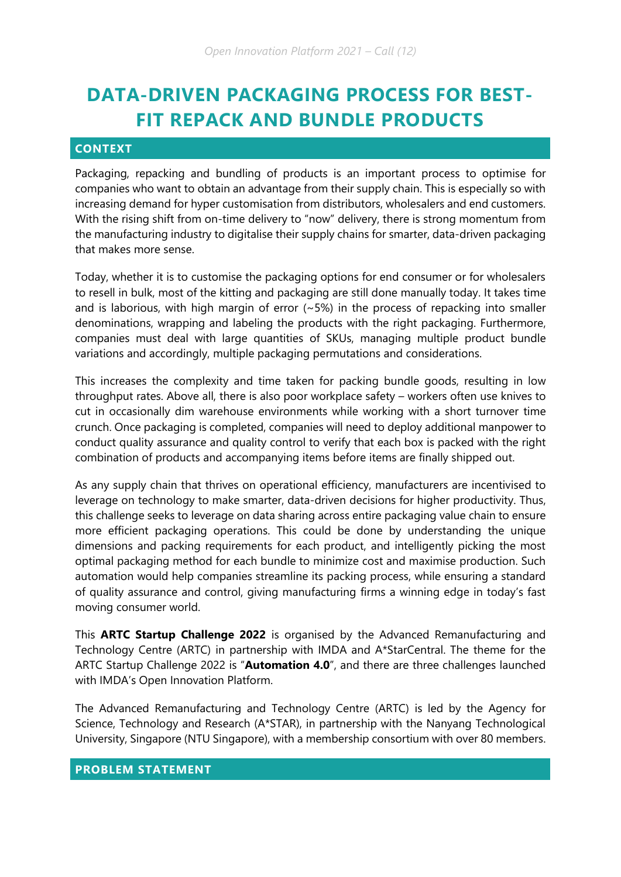# **DATA-DRIVEN PACKAGING PROCESS FOR BEST-FIT REPACK AND BUNDLE PRODUCTS**

# **CONTEXT**

Packaging, repacking and bundling of products is an important process to optimise for companies who want to obtain an advantage from their supply chain. This is especially so with increasing demand for hyper customisation from distributors, wholesalers and end customers. With the rising shift from on-time delivery to "now" delivery, there is strong momentum from the manufacturing industry to digitalise their supply chains for smarter, data-driven packaging that makes more sense.

Today, whether it is to customise the packaging options for end consumer or for wholesalers to resell in bulk, most of the kitting and packaging are still done manually today. It takes time and is laborious, with high margin of error  $(-5%)$  in the process of repacking into smaller denominations, wrapping and labeling the products with the right packaging. Furthermore, companies must deal with large quantities of SKUs, managing multiple product bundle variations and accordingly, multiple packaging permutations and considerations.

This increases the complexity and time taken for packing bundle goods, resulting in low throughput rates. Above all, there is also poor workplace safety – workers often use knives to cut in occasionally dim warehouse environments while working with a short turnover time crunch. Once packaging is completed, companies will need to deploy additional manpower to conduct quality assurance and quality control to verify that each box is packed with the right combination of products and accompanying items before items are finally shipped out.

As any supply chain that thrives on operational efficiency, manufacturers are incentivised to leverage on technology to make smarter, data-driven decisions for higher productivity. Thus, this challenge seeks to leverage on data sharing across entire packaging value chain to ensure more efficient packaging operations. This could be done by understanding the unique dimensions and packing requirements for each product, and intelligently picking the most optimal packaging method for each bundle to minimize cost and maximise production. Such automation would help companies streamline its packing process, while ensuring a standard of quality assurance and control, giving manufacturing firms a winning edge in today's fast moving consumer world.

This **ARTC Startup Challenge 2022** is organised by the Advanced Remanufacturing and Technology Centre (ARTC) in partnership with IMDA and A\*StarCentral. The theme for the ARTC Startup Challenge 2022 is "**Automation 4.0**", and there are three challenges launched with IMDA's Open Innovation Platform.

The Advanced Remanufacturing and Technology Centre (ARTC) is led by the Agency for Science, Technology and Research (A\*STAR), in partnership with the Nanyang Technological University, Singapore (NTU Singapore), with a membership consortium with over 80 members.

### **PROBLEM STATEMENT**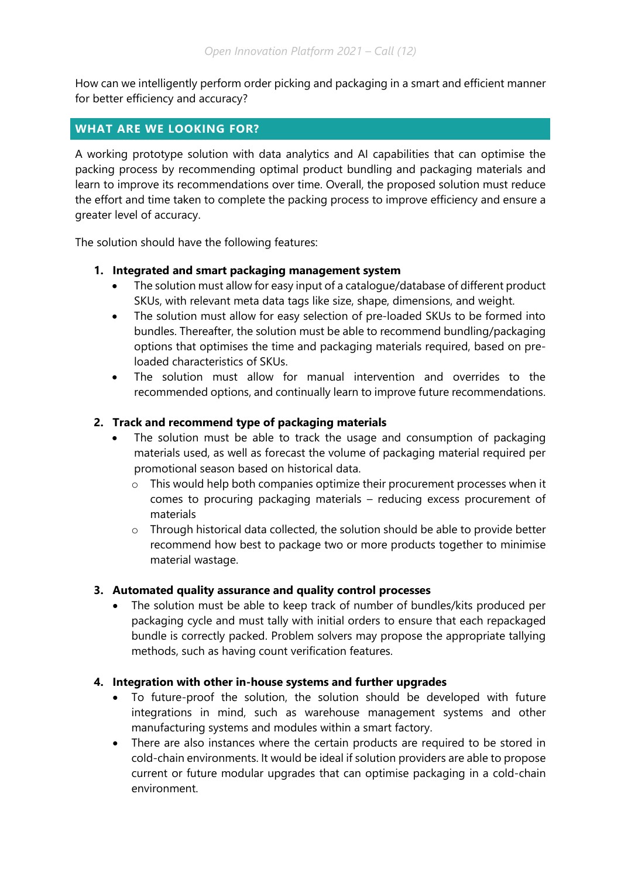How can we intelligently perform order picking and packaging in a smart and efficient manner for better efficiency and accuracy?

# **WHAT ARE WE LOOKING FOR?**

A working prototype solution with data analytics and AI capabilities that can optimise the packing process by recommending optimal product bundling and packaging materials and learn to improve its recommendations over time. Overall, the proposed solution must reduce the effort and time taken to complete the packing process to improve efficiency and ensure a greater level of accuracy.

The solution should have the following features:

#### **1. Integrated and smart packaging management system**

- The solution must allow for easy input of a catalogue/database of different product SKUs, with relevant meta data tags like size, shape, dimensions, and weight.
- The solution must allow for easy selection of pre-loaded SKUs to be formed into bundles. Thereafter, the solution must be able to recommend bundling/packaging options that optimises the time and packaging materials required, based on preloaded characteristics of SKUs.
- The solution must allow for manual intervention and overrides to the recommended options, and continually learn to improve future recommendations.

## **2. Track and recommend type of packaging materials**

- The solution must be able to track the usage and consumption of packaging materials used, as well as forecast the volume of packaging material required per promotional season based on historical data.
	- o This would help both companies optimize their procurement processes when it comes to procuring packaging materials – reducing excess procurement of materials
	- o Through historical data collected, the solution should be able to provide better recommend how best to package two or more products together to minimise material wastage.

## **3. Automated quality assurance and quality control processes**

 The solution must be able to keep track of number of bundles/kits produced per packaging cycle and must tally with initial orders to ensure that each repackaged bundle is correctly packed. Problem solvers may propose the appropriate tallying methods, such as having count verification features.

## **4. Integration with other in-house systems and further upgrades**

- To future-proof the solution, the solution should be developed with future integrations in mind, such as warehouse management systems and other manufacturing systems and modules within a smart factory.
- There are also instances where the certain products are required to be stored in cold-chain environments. It would be ideal if solution providers are able to propose current or future modular upgrades that can optimise packaging in a cold-chain environment.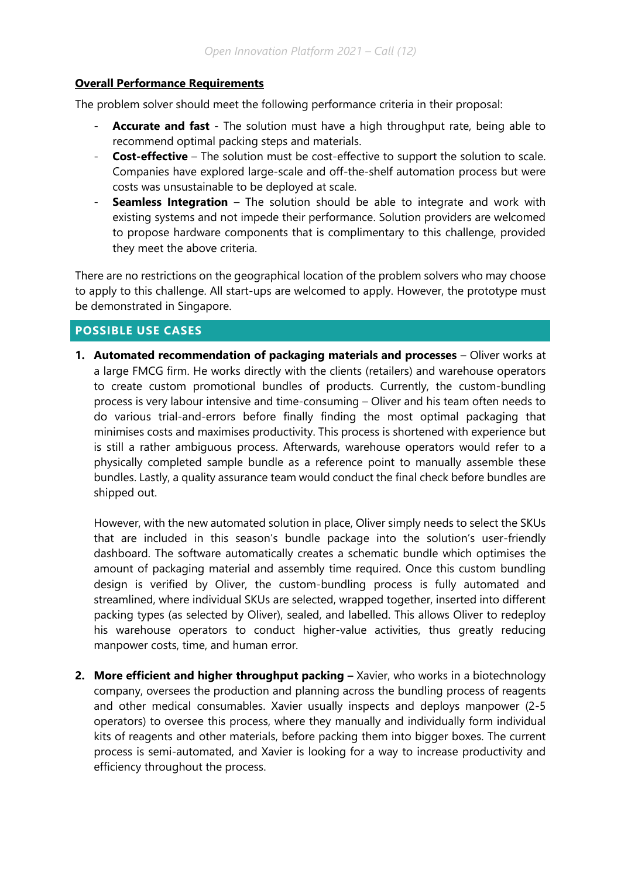#### **Overall Performance Requirements**

The problem solver should meet the following performance criteria in their proposal:

- **Accurate and fast** The solution must have a high throughput rate, being able to recommend optimal packing steps and materials.
- **Cost-effective** The solution must be cost-effective to support the solution to scale. Companies have explored large-scale and off-the-shelf automation process but were costs was unsustainable to be deployed at scale.
- **Seamless Integration** The solution should be able to integrate and work with existing systems and not impede their performance. Solution providers are welcomed to propose hardware components that is complimentary to this challenge, provided they meet the above criteria.

There are no restrictions on the geographical location of the problem solvers who may choose to apply to this challenge. All start-ups are welcomed to apply. However, the prototype must be demonstrated in Singapore.

# **POSSIBLE USE CASES**

**1. Automated recommendation of packaging materials and processes – Oliver works at** a large FMCG firm. He works directly with the clients (retailers) and warehouse operators to create custom promotional bundles of products. Currently, the custom-bundling process is very labour intensive and time-consuming – Oliver and his team often needs to do various trial-and-errors before finally finding the most optimal packaging that minimises costs and maximises productivity. This process is shortened with experience but is still a rather ambiguous process. Afterwards, warehouse operators would refer to a physically completed sample bundle as a reference point to manually assemble these bundles. Lastly, a quality assurance team would conduct the final check before bundles are shipped out.

However, with the new automated solution in place, Oliver simply needs to select the SKUs that are included in this season's bundle package into the solution's user-friendly dashboard. The software automatically creates a schematic bundle which optimises the amount of packaging material and assembly time required. Once this custom bundling design is verified by Oliver, the custom-bundling process is fully automated and streamlined, where individual SKUs are selected, wrapped together, inserted into different packing types (as selected by Oliver), sealed, and labelled. This allows Oliver to redeploy his warehouse operators to conduct higher-value activities, thus greatly reducing manpower costs, time, and human error.

**2. More efficient and higher throughput packing – Xavier, who works in a biotechnology** company, oversees the production and planning across the bundling process of reagents and other medical consumables. Xavier usually inspects and deploys manpower (2-5 operators) to oversee this process, where they manually and individually form individual kits of reagents and other materials, before packing them into bigger boxes. The current process is semi-automated, and Xavier is looking for a way to increase productivity and efficiency throughout the process.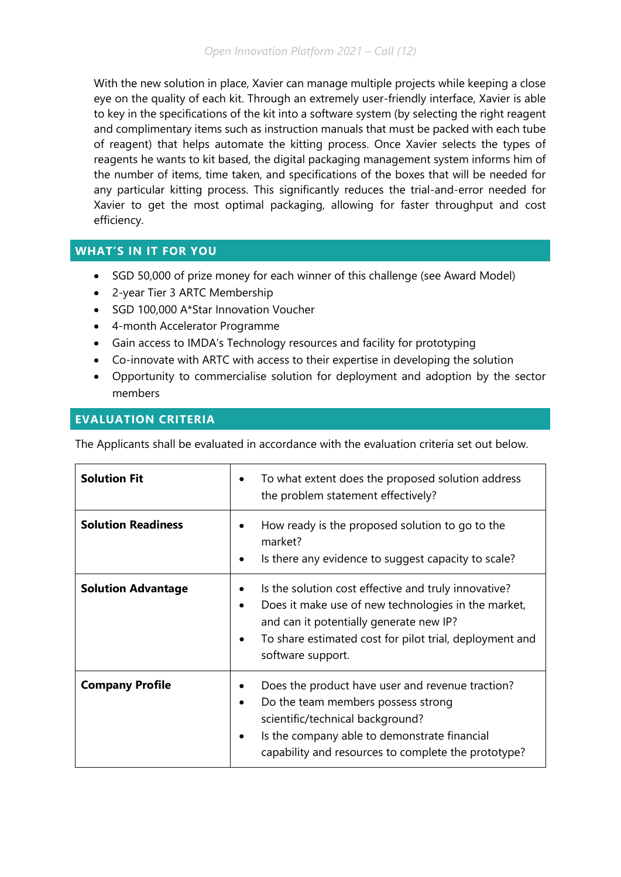With the new solution in place, Xavier can manage multiple projects while keeping a close eye on the quality of each kit. Through an extremely user-friendly interface, Xavier is able to key in the specifications of the kit into a software system (by selecting the right reagent and complimentary items such as instruction manuals that must be packed with each tube of reagent) that helps automate the kitting process. Once Xavier selects the types of reagents he wants to kit based, the digital packaging management system informs him of the number of items, time taken, and specifications of the boxes that will be needed for any particular kitting process. This significantly reduces the trial-and-error needed for Xavier to get the most optimal packaging, allowing for faster throughput and cost efficiency.

# **WHAT'S IN IT FOR YOU**

- SGD 50,000 of prize money for each winner of this challenge (see Award Model)
- 2-year Tier 3 ARTC Membership
- SGD 100,000 A\*Star Innovation Voucher
- 4-month Accelerator Programme
- Gain access to IMDA's Technology resources and facility for prototyping
- Co-innovate with ARTC with access to their expertise in developing the solution
- Opportunity to commercialise solution for deployment and adoption by the sector members

# **EVALUATION CRITERIA**

The Applicants shall be evaluated in accordance with the evaluation criteria set out below.

| <b>Solution Fit</b>       | To what extent does the proposed solution address<br>$\bullet$<br>the problem statement effectively?                                                                                                                                                                  |
|---------------------------|-----------------------------------------------------------------------------------------------------------------------------------------------------------------------------------------------------------------------------------------------------------------------|
| <b>Solution Readiness</b> | How ready is the proposed solution to go to the<br>market?<br>Is there any evidence to suggest capacity to scale?<br>$\bullet$                                                                                                                                        |
| <b>Solution Advantage</b> | Is the solution cost effective and truly innovative?<br>٠<br>Does it make use of new technologies in the market,<br>$\bullet$<br>and can it potentially generate new IP?<br>To share estimated cost for pilot trial, deployment and<br>$\bullet$<br>software support. |
| <b>Company Profile</b>    | Does the product have user and revenue traction?<br>Do the team members possess strong<br>$\bullet$<br>scientific/technical background?<br>Is the company able to demonstrate financial<br>$\bullet$<br>capability and resources to complete the prototype?           |